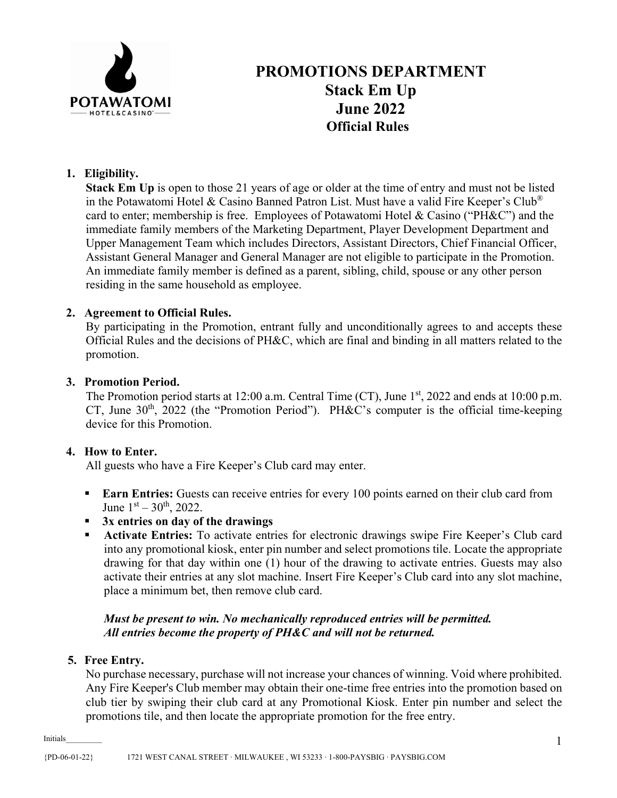

# **PROMOTIONS DEPARTMENT Stack Em Up June 2022 Official Rules**

# **1. Eligibility.**

**Stack Em Up** is open to those 21 years of age or older at the time of entry and must not be listed in the Potawatomi Hotel & Casino Banned Patron List. Must have a valid Fire Keeper's Club® card to enter; membership is free. Employees of Potawatomi Hotel & Casino ("PH&C") and the immediate family members of the Marketing Department, Player Development Department and Upper Management Team which includes Directors, Assistant Directors, Chief Financial Officer, Assistant General Manager and General Manager are not eligible to participate in the Promotion. An immediate family member is defined as a parent, sibling, child, spouse or any other person residing in the same household as employee.

# **2. Agreement to Official Rules.**

By participating in the Promotion, entrant fully and unconditionally agrees to and accepts these Official Rules and the decisions of PH&C, which are final and binding in all matters related to the promotion.

#### **3. Promotion Period.**

The Promotion period starts at 12:00 a.m. Central Time  $(CT)$ , June  $1<sup>st</sup>$ , 2022 and ends at 10:00 p.m. CT, June  $30<sup>th</sup>$ ,  $2022$  (the "Promotion Period"). PH&C's computer is the official time-keeping device for this Promotion.

# **4. How to Enter.**

All guests who have a Fire Keeper's Club card may enter.

- **Earn Entries:** Guests can receive entries for every 100 points earned on their club card from June  $1<sup>st</sup> - 30<sup>th</sup>$ , 2022.
- **3x entries on day of the drawings**
- **Activate Entries:** To activate entries for electronic drawings swipe Fire Keeper's Club card into any promotional kiosk, enter pin number and select promotions tile. Locate the appropriate drawing for that day within one (1) hour of the drawing to activate entries. Guests may also activate their entries at any slot machine. Insert Fire Keeper's Club card into any slot machine, place a minimum bet, then remove club card.

#### *Must be present to win. No mechanically reproduced entries will be permitted. All entries become the property of PH&C and will not be returned.*

#### **5. Free Entry.**

No purchase necessary, purchase will not increase your chances of winning. Void where prohibited. Any Fire Keeper's Club member may obtain their one-time free entries into the promotion based on club tier by swiping their club card at any Promotional Kiosk. Enter pin number and select the promotions tile, and then locate the appropriate promotion for the free entry.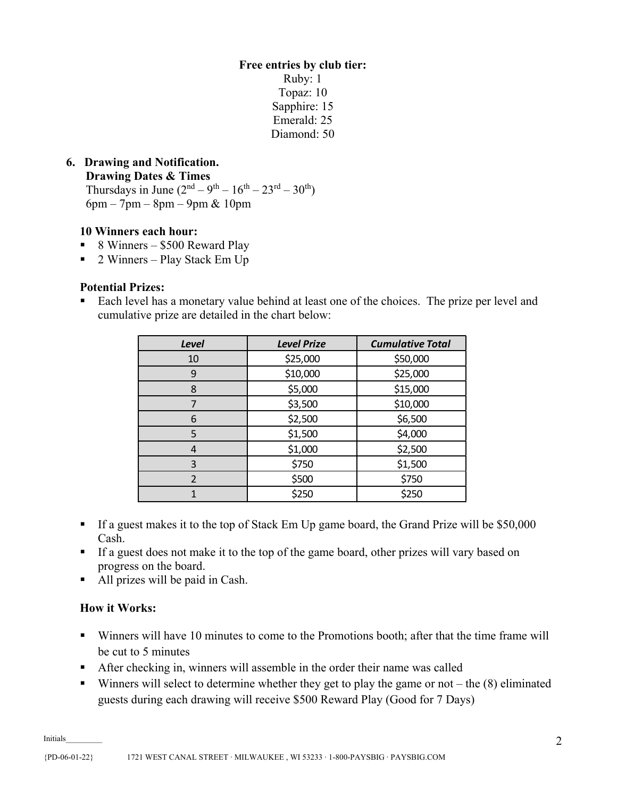**Free entries by club tier:** Ruby: 1 Topaz: 10 Sapphire: 15 Emerald: 25 Diamond: 50

# **6. Drawing and Notification.**

 **Drawing Dates & Times** 

Thursdays in June  $(2^{nd} – 9^{th} – 16^{th} – 23^{rd} – 30^{th})$ 6pm – 7pm – 8pm – 9pm & 10pm

#### **10 Winners each hour:**

- $\blacksquare$  8 Winners \$500 Reward Play
- 2 Winners Play Stack Em Up

#### **Potential Prizes:**

Each level has a monetary value behind at least one of the choices. The prize per level and cumulative prize are detailed in the chart below:

| <b>Level</b>             | <b>Level Prize</b> | <b>Cumulative Total</b> |
|--------------------------|--------------------|-------------------------|
| 10                       | \$25,000           | \$50,000                |
| 9                        | \$10,000           | \$25,000                |
| 8                        | \$5,000            | \$15,000                |
| 7                        | \$3,500            | \$10,000                |
| 6                        | \$2,500            | \$6,500                 |
| 5                        | \$1,500            | \$4,000                 |
| 4                        | \$1,000            | \$2,500                 |
| 3                        | \$750              | \$1,500                 |
| $\overline{\mathcal{L}}$ | \$500              | \$750                   |
|                          | \$250              | \$250                   |

- If a guest makes it to the top of Stack Em Up game board, the Grand Prize will be \$50,000 Cash.
- If a guest does not make it to the top of the game board, other prizes will vary based on progress on the board.
- All prizes will be paid in Cash.

# **How it Works:**

- Winners will have 10 minutes to come to the Promotions booth; after that the time frame will be cut to 5 minutes
- After checking in, winners will assemble in the order their name was called
- Winners will select to determine whether they get to play the game or not the  $(8)$  eliminated guests during each drawing will receive \$500 Reward Play (Good for 7 Days)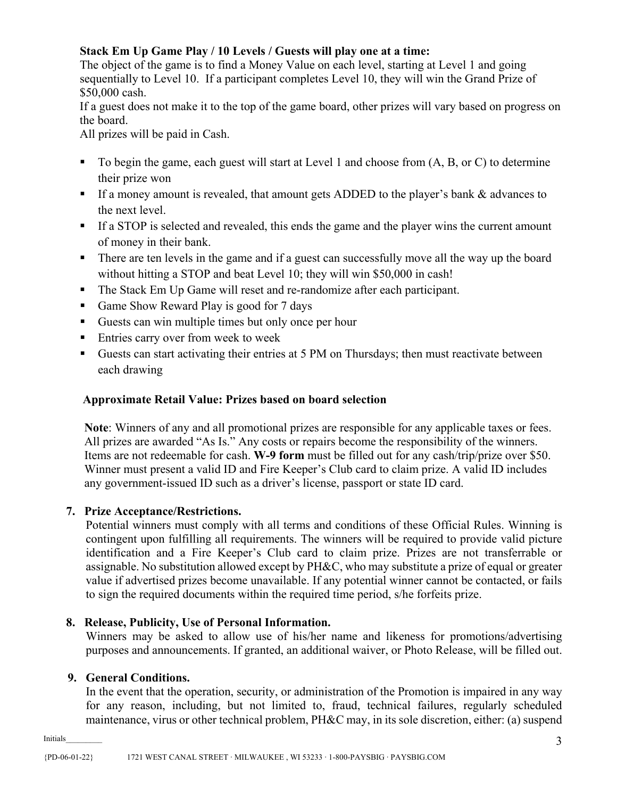# **Stack Em Up Game Play / 10 Levels / Guests will play one at a time:**

The object of the game is to find a Money Value on each level, starting at Level 1 and going sequentially to Level 10. If a participant completes Level 10, they will win the Grand Prize of \$50,000 cash.

If a guest does not make it to the top of the game board, other prizes will vary based on progress on the board.

All prizes will be paid in Cash.

- $\blacksquare$  To begin the game, each guest will start at Level 1 and choose from  $(A, B, or C)$  to determine their prize won
- If a money amount is revealed, that amount gets ADDED to the player's bank & advances to the next level.
- If a STOP is selected and revealed, this ends the game and the player wins the current amount of money in their bank.
- There are ten levels in the game and if a guest can successfully move all the way up the board without hitting a STOP and beat Level 10; they will win \$50,000 in cash!
- The Stack Em Up Game will reset and re-randomize after each participant.
- Game Show Reward Play is good for 7 days
- Guests can win multiple times but only once per hour
- **Entries carry over from week to week**
- Guests can start activating their entries at 5 PM on Thursdays; then must reactivate between each drawing

# **Approximate Retail Value: Prizes based on board selection**

**Note**: Winners of any and all promotional prizes are responsible for any applicable taxes or fees. All prizes are awarded "As Is." Any costs or repairs become the responsibility of the winners. Items are not redeemable for cash. **W-9 form** must be filled out for any cash/trip/prize over \$50. Winner must present a valid ID and Fire Keeper's Club card to claim prize. A valid ID includes any government-issued ID such as a driver's license, passport or state ID card.

# **7. Prize Acceptance/Restrictions.**

Potential winners must comply with all terms and conditions of these Official Rules. Winning is contingent upon fulfilling all requirements. The winners will be required to provide valid picture identification and a Fire Keeper's Club card to claim prize. Prizes are not transferrable or assignable. No substitution allowed except by PH&C, who may substitute a prize of equal or greater value if advertised prizes become unavailable. If any potential winner cannot be contacted, or fails to sign the required documents within the required time period, s/he forfeits prize.

# **8. Release, Publicity, Use of Personal Information.**

Winners may be asked to allow use of his/her name and likeness for promotions/advertising purposes and announcements. If granted, an additional waiver, or Photo Release, will be filled out.

# **9. General Conditions.**

In the event that the operation, security, or administration of the Promotion is impaired in any way for any reason, including, but not limited to, fraud, technical failures, regularly scheduled maintenance, virus or other technical problem, PH&C may, in its sole discretion, either: (a) suspend